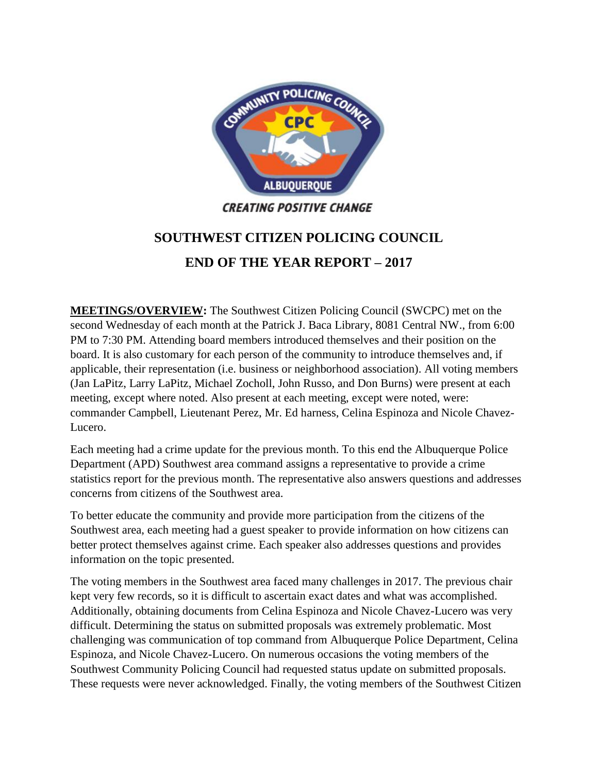

## **SOUTHWEST CITIZEN POLICING COUNCIL END OF THE YEAR REPORT – 2017**

**MEETINGS/OVERVIEW:** The Southwest Citizen Policing Council (SWCPC) met on the second Wednesday of each month at the Patrick J. Baca Library, 8081 Central NW., from 6:00 PM to 7:30 PM. Attending board members introduced themselves and their position on the board. It is also customary for each person of the community to introduce themselves and, if applicable, their representation (i.e. business or neighborhood association). All voting members (Jan LaPitz, Larry LaPitz, Michael Zocholl, John Russo, and Don Burns) were present at each meeting, except where noted. Also present at each meeting, except were noted, were: commander Campbell, Lieutenant Perez, Mr. Ed harness, Celina Espinoza and Nicole Chavez-Lucero.

Each meeting had a crime update for the previous month. To this end the Albuquerque Police Department (APD) Southwest area command assigns a representative to provide a crime statistics report for the previous month. The representative also answers questions and addresses concerns from citizens of the Southwest area.

To better educate the community and provide more participation from the citizens of the Southwest area, each meeting had a guest speaker to provide information on how citizens can better protect themselves against crime. Each speaker also addresses questions and provides information on the topic presented.

The voting members in the Southwest area faced many challenges in 2017. The previous chair kept very few records, so it is difficult to ascertain exact dates and what was accomplished. Additionally, obtaining documents from Celina Espinoza and Nicole Chavez-Lucero was very difficult. Determining the status on submitted proposals was extremely problematic. Most challenging was communication of top command from Albuquerque Police Department, Celina Espinoza, and Nicole Chavez-Lucero. On numerous occasions the voting members of the Southwest Community Policing Council had requested status update on submitted proposals. These requests were never acknowledged. Finally, the voting members of the Southwest Citizen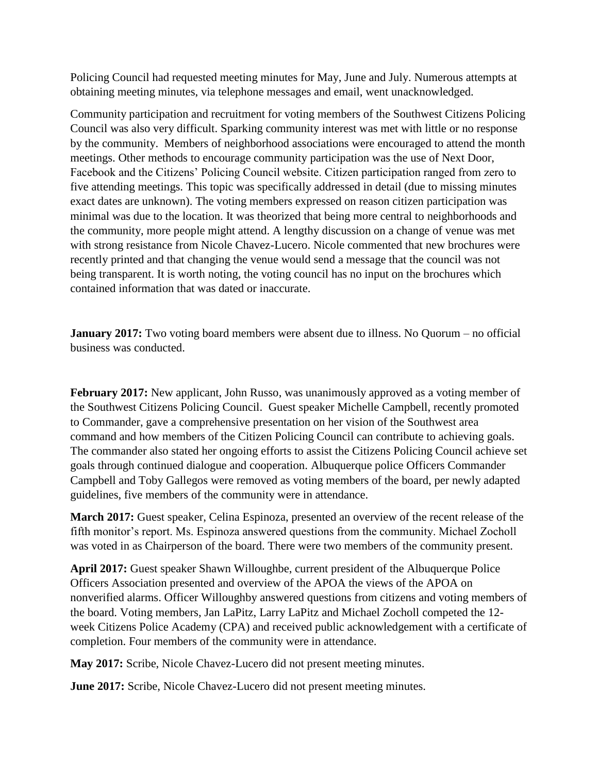Policing Council had requested meeting minutes for May, June and July. Numerous attempts at obtaining meeting minutes, via telephone messages and email, went unacknowledged.

Community participation and recruitment for voting members of the Southwest Citizens Policing Council was also very difficult. Sparking community interest was met with little or no response by the community. Members of neighborhood associations were encouraged to attend the month meetings. Other methods to encourage community participation was the use of Next Door, Facebook and the Citizens' Policing Council website. Citizen participation ranged from zero to five attending meetings. This topic was specifically addressed in detail (due to missing minutes exact dates are unknown). The voting members expressed on reason citizen participation was minimal was due to the location. It was theorized that being more central to neighborhoods and the community, more people might attend. A lengthy discussion on a change of venue was met with strong resistance from Nicole Chavez-Lucero. Nicole commented that new brochures were recently printed and that changing the venue would send a message that the council was not being transparent. It is worth noting, the voting council has no input on the brochures which contained information that was dated or inaccurate.

**January 2017:** Two voting board members were absent due to illness. No Quorum – no official business was conducted.

**February 2017:** New applicant, John Russo, was unanimously approved as a voting member of the Southwest Citizens Policing Council. Guest speaker Michelle Campbell, recently promoted to Commander, gave a comprehensive presentation on her vision of the Southwest area command and how members of the Citizen Policing Council can contribute to achieving goals. The commander also stated her ongoing efforts to assist the Citizens Policing Council achieve set goals through continued dialogue and cooperation. Albuquerque police Officers Commander Campbell and Toby Gallegos were removed as voting members of the board, per newly adapted guidelines, five members of the community were in attendance.

**March 2017:** Guest speaker, Celina Espinoza, presented an overview of the recent release of the fifth monitor's report. Ms. Espinoza answered questions from the community. Michael Zocholl was voted in as Chairperson of the board. There were two members of the community present.

**April 2017:** Guest speaker Shawn Willoughbe, current president of the Albuquerque Police Officers Association presented and overview of the APOA the views of the APOA on nonverified alarms. Officer Willoughby answered questions from citizens and voting members of the board. Voting members, Jan LaPitz, Larry LaPitz and Michael Zocholl competed the 12 week Citizens Police Academy (CPA) and received public acknowledgement with a certificate of completion. Four members of the community were in attendance.

**May 2017:** Scribe, Nicole Chavez-Lucero did not present meeting minutes.

**June 2017:** Scribe, Nicole Chavez-Lucero did not present meeting minutes.